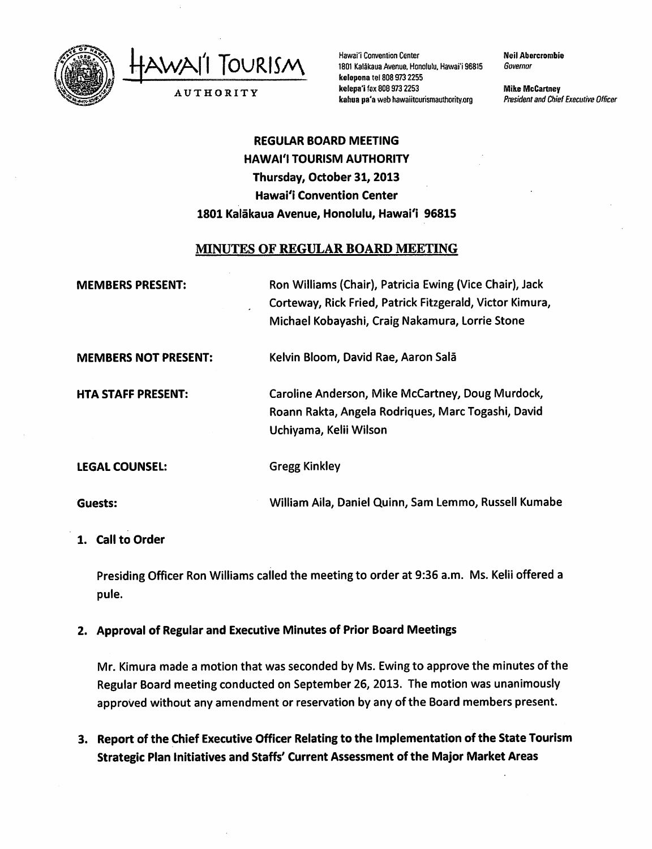

Hawai'i Convention Center<br>1801 Kalãkaua Avenue, Hon

AUTHORITY

1801 Kalākaua Avenue, Honolulu, Hawai'i 96815 kelepona te!8089732255 kelepa'i fax 808 973 2253 kahua pa'a web hawaiitcurismauthority.org

Neil Abercrombie Governor

Mike McCartney President and Chief Executive Officer

# REGULAR BOARD MEETING HAWAI'I TOURISM AUTHORITY Thursday, October 31, 2013 Hawai'i Convention Center 1801 Kalakaua Avenue, Honolulu, Hawai'i 96815

## MINUTES OF REGULAR BOARD MEETING

| <b>MEMBERS PRESENT:</b>     | Ron Williams (Chair), Patricia Ewing (Vice Chair), Jack<br>Corteway, Rick Fried, Patrick Fitzgerald, Victor Kimura,<br>Michael Kobayashi, Craig Nakamura, Lorrie Stone |
|-----------------------------|------------------------------------------------------------------------------------------------------------------------------------------------------------------------|
| <b>MEMBERS NOT PRESENT:</b> | Kelvin Bloom, David Rae, Aaron Salā                                                                                                                                    |
| <b>HTA STAFF PRESENT:</b>   | Caroline Anderson, Mike McCartney, Doug Murdock,<br>Roann Rakta, Angela Rodriques, Marc Togashi, David<br>Uchiyama, Kelii Wilson                                       |
| <b>LEGAL COUNSEL:</b>       | <b>Gregg Kinkley</b>                                                                                                                                                   |
| Guests:                     | William Aila, Daniel Quinn, Sam Lemmo, Russell Kumabe                                                                                                                  |

### 1. Call to Order

Presiding Officer Ron Williams called the meeting to order at 9:36 a.m. Ms. Kelii offered a pule.

## 2. Approval of Regular and Executive Minutes of Prior Board Meetings

Mr. Kimura made a motion that was seconded by Ms. Ewingto approve the minutes of the Regular Board meeting conducted on September 26, 2013. The motion was unanimously approved without any amendment or reservation by any of the Board members present.

3. Report of the Chief Executive Officer Relating to the Implementation of the State Tourism Strategic Plan Initiatives and Staffs' Current Assessment of the Major Market Areas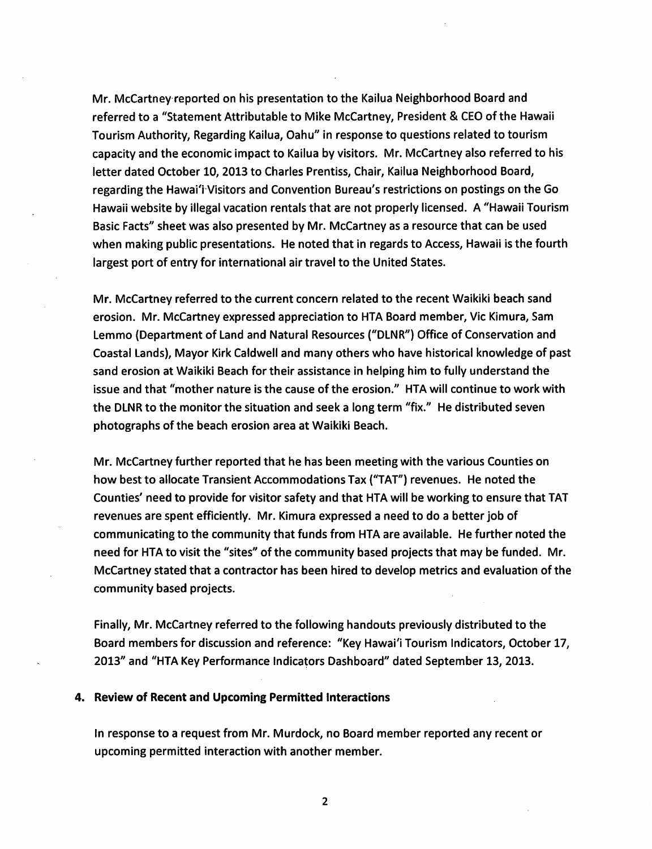Mr. McCartney reported on his presentation to the Kailua Neighborhood Board and referred to a "Statement Attributable to Mike McCartney, President & CEO of the Hawaii Tourism Authority, Regarding Kailua, Oahu" in response to questions related to tourism capacity and the economic Impact to Kailua by visitors. Mr. McCartney also referred to his letter dated October 10, 2013 to Charles Prentiss, Chair, Kailua Neighborhood Board, regarding the Hawai'i Visitors and Convention Bureau's restrictions on postings on the Go Hawaii website by illegal vacation rentals that are not properly licensed. A "Hawaii Tourism Basic Facts'' sheet was also presented by Mr. McCartney as a resource that can be used when making public presentations. He noted that in regards to Access, Hawaii isthe fourth largest port of entry for international air travel to the United States.

Mr. McCartney referred to the current concern related to the recent Waikiki beach sand erosion. Mr. McCartney expressed appreciation to HTA Board member, Vic Kimura, Sam Lemmo {Department of Land and Natural Resources ("DLNR") Office of Conservation and Coastal Lands), Mayor Kirk Caldwell and many others who have historical knowledge of past sand erosion at Waikiki Beach for their assistance in helping him to fully understand the issue and that "mother nature is the cause of the erosion." HTA will continue to work with the DLNR to the monitor the situation and seek a long term "fix." He distributed seven photographs of the beach erosion area at Waikiki Beach.

Mr. McCartney further reported that he has been meeting with the various Counties on how best to allocate Transient Accommodations Tax ("TAT") revenues. He noted the Counties' need to provide for visitor safety and that HTA will be working to ensure that TAT revenues are spent efficiently. Mr. Kimura expressed a need to do a better job of communicating to the community that funds from HTA are available. He further noted the need for HTA to visit the "sites" of the community based projects that may be funded. Mr. McCartney stated that a contractor has been hired to develop metrics and evaluation of the community based projects.

Finally, Mr. McCartney referred to the following handouts previously distributed to the Board members for discussion and reference: "Key Hawai'i Tourism Indicators, October 17, 2013" and "HTA Key Performance Indicators Dashboard" dated September 13, 2013.

#### 4. Review of Recent and Upcoming Permitted Interactions

In response to a request from Mr. Murdock, no Board member reported any recent or upcoming permitted interaction with another member.

 $\overline{2}$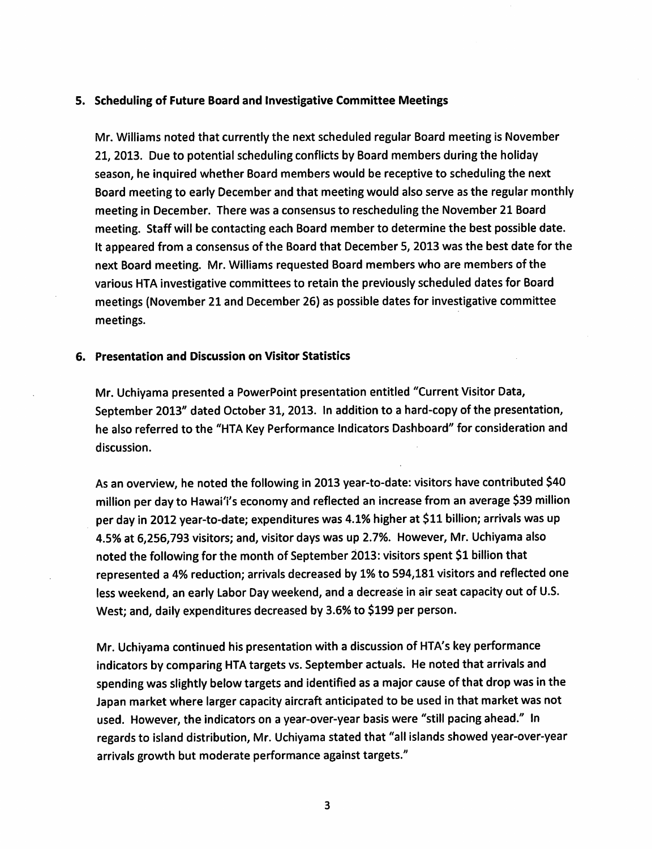#### 5. Scheduling of Future Board and Investigative Committee Meetings

Mr. Williams noted that currently the next scheduled regular Board meeting is November 21; 2013. Due to potential scheduling conflicts by Board members during the holiday season, he inquired whether Board members would be receptive to scheduling the next Board meeting to early December and that meeting would also serve as the regular monthly meeting in December. There was a consensus to rescheduling the November 21 Board meeting. Staff will be contacting each Board member to determine the best possible date. It appeared from a consensus of the Board that December 5, 2013 was the best date for the next Board meeting. Mr. Williams requested Board members who are members of the various HTA investigative committees to retain the previously scheduled dates for Board meetings (November 21 and December 26) as possible dates for investigative committee meetings.

#### 6. Presentation and Discussion on Visitor Statistics

Mr. Uchiyama presented a PowerPoint presentation entitled "Current Visitor Data, September 2013" dated October 31, 2013. In addition to a hard-copy of the presentation, he also referred to the "HTA Key Performance Indicators Dashboard" for consideration and discussion.

As an overview, he noted the following in 2013 year-to-date: visitors have contributed \$40 million per day to Hawai'i's economy and reflected an increase from an average \$39 million per day in 2012 year-to-date; expenditures was 4.1% higher at \$11 billion; arrivals was up 4.5% at 6,256,793 visitors; and, visitor days was up 2.7%. However, Mr. Uchiyama also noted the following for the month of September 2013: visitors spent \$1 billion that represented a 4% reduction; arrivals decreased by 1% to 594,181 visitors and reflected one less weekend, an early Labor Day weekend, and a decrease in air seat capacity out of U.S. West; and, daily expenditures decreased by 3.6% to \$199 per person.

Mr. Uchiyama continued his presentation with a discussion of HTA's key performance indicators by comparing HTA targets vs. September actuals. He noted that arrivals and spending was slightly below targets and identified as a major cause of that drop was in the Japan market where larger capacity aircraft anticipated to be used in that market was not used. However, the indicators on a year-over-year basis were "still pacing ahead." In regards to island distribution, Mr. Uchiyama stated that "allislands showed year-over-year arrivals growth but moderate performance against targets."

 $\overline{\mathbf{3}}$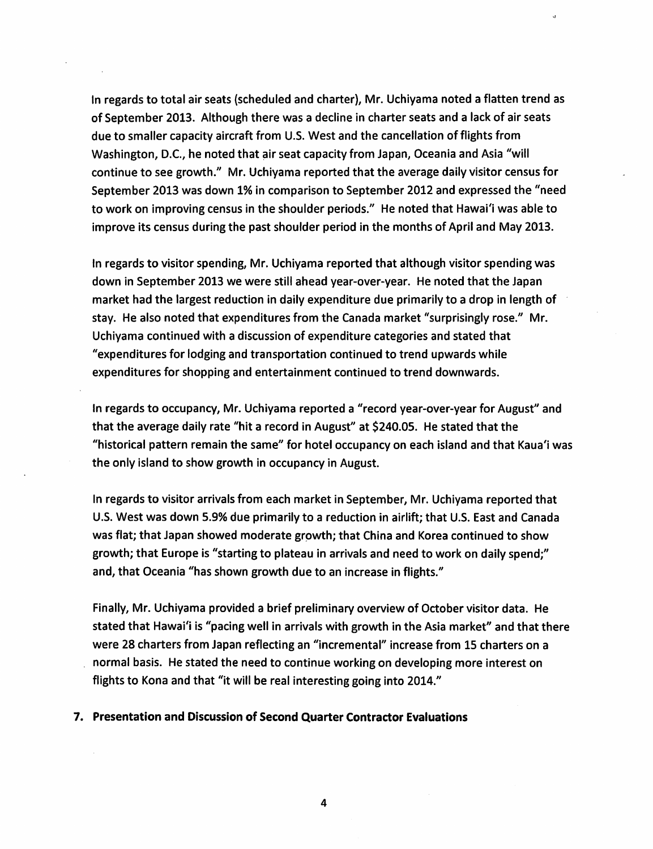In regards to total air seats (scheduled and charter), Mr. Uchiyama noted a flatten trend as of September 2013. Although there was a decline in charter seats and a lack of air seats due to smaller capacity aircraft from U.S. West and the cancellation of flights from Washington, D.C, he noted that air seat capacity from Japan, Oceania and Asia "will continue to see growth." Mr. Uchiyama reported that the average daily visitor census for September 2013 was down 1% in comparison to September 2012 and expressed the "need to work on improving census in the shoulder periods." He noted that Hawai'i was able to improve its census during the past shoulder period in the months of April and May 2013.

In regards to visitor spending, Mr. Uchiyama reported that although visitor spending was down in September 2013 we were still ahead year-over-year. He noted that the Japan market had the largest reduction in daily expenditure due primarily to a drop in length of stay. He also noted that expenditures from the Canada market "surprisingly rose." Mr. Uchiyama continued with a discussion of expenditure categories and stated that "expenditures for lodging and transportation continued to trend upwards while expenditures for shopping and entertainment continued to trend downwards.

In regards to occupancy, Mr. Uchiyama reported a "record year-over-year for August" and that the average daily rate "hit a record in August" at \$240.05. He stated that the "historical pattern remain the same" for hotel occupancy on each island and that Kaua'i was the only island to show growth in occupancy in August.

In regards to visitor arrivals from each market in September, Mr. Uchiyama reported that U.S. West was down 5.9% due primarily to a reduction in airlift; that U.S. East and Canada was flat; that Japan showed moderate growth; that China and Korea continued to show growth; that Europe is "starting to plateau in arrivals and need to work on daily spend;" and, that Oceania "has shown growth due to an increase in flights."

Finally, Mr. Uchiyama provided a brief preliminary overview of October visitor data. He stated that Hawai'i is "pacing well in arrivals with growth in the Asia market" and that there were 28 charters from Japan reflecting an "incremental" increase from 15 charters on a normal basis. He stated the need to continue working on developing more interest on flights to Kona and that "it will be real interesting going into 2014."

## 7. Presentation and Discussion of Second Quarter Contractor Evaluations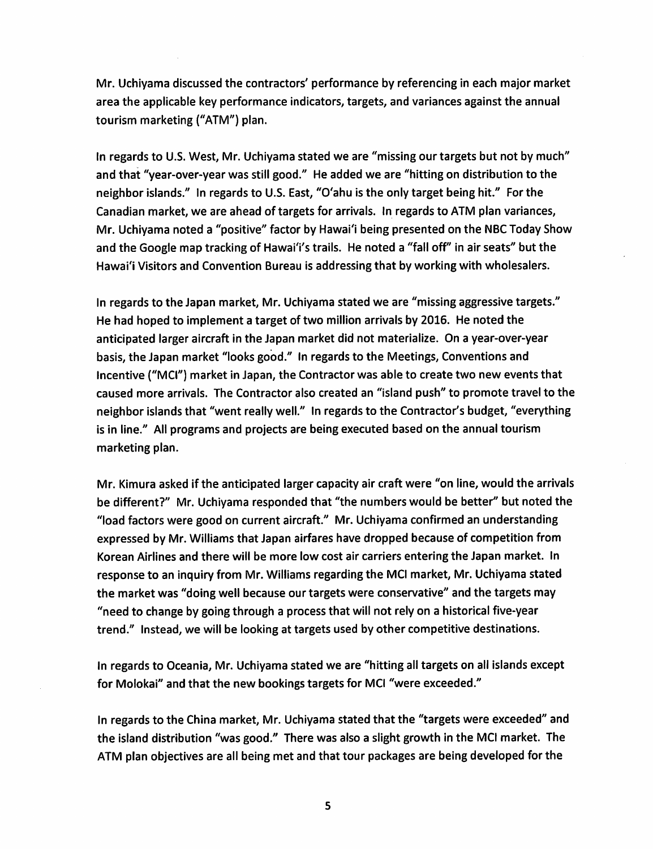Mr. Uchiyama discussed the contractors' performance by referencing in each major market area the applicable key performance indicators, targets, and variances against the annual tourism marketing ("ATM") plan.

In regards to U.S. West, Mr. Uchiyama stated we are "missing our targets but not by much" and that "year-over-year was still good." He added we are "hitting on distribution to the neighbor islands." In regards to U.S. East, "O'ahu is the only target being hit," For the Canadian market, we are ahead oftargets for arrivals. In regards to ATM plan variances, Mr. Uchiyama noted a "positive" factor by Hawai'i being presented on the NBC Today Show and the Google map tracking of Hawai'i's trails. He noted a "fall off" in air seats" but the Hawai'i Visitors and Convention Bureau is addressing that by working with wholesalers.

In regards to the Japan market, Mr. Uchiyama stated we are "missing aggressive targets." He had hoped to implement a target of two million arrivals by 2016. He noted the anticipated larger aircraft in the Japan market did not materialize. On a year-over-year basis, the Japan market "looks good." In regards to the Meetings, Conventions and Incentive ("MCl") market in Japan, the Contractor was able to create two new events that caused more arrivals. The Contractor also created an "island push" to promote travel to the neighbor islands that "went really well." In regards to the Contractor's budget, "everything is in line." All programs and projects are being executed based on the annual tourism marketing plan.

Mr. Kimura asked if the anticipated larger capacity air craft were "on line, would the arrivals be different?" Mr. Uchiyama responded that "the numbers would be better" but noted the "load factors were good on current aircraft." Mr. Uchiyama confirmed an understanding expressed by Mr. Williams that Japan airfares have dropped because of competition from Korean Airlines and there will be more low cost air carriers entering the Japan market. In response to an inquiry from Mr. Williams regarding the MCI market, Mr. Uchiyama stated the market was "doing well because our targets were conservative" and the targets may "need to change by going through a process that will not rely on a historical five-year trend." Instead, we will be looking at targets used by other competitive destinations.

In regards to Oceania, Mr. Uchiyama stated we are "hitting all targets on all islands except for Molokai" and that the new bookings targets for MCl "were exceeded."

In regards to the China market, Mr. Uchiyama stated that the "targets were exceeded" and the island distribution "was good." There was also a slight growth in the MCl market. The ATM plan objectives are all being met and that tour packages are being developed for the

5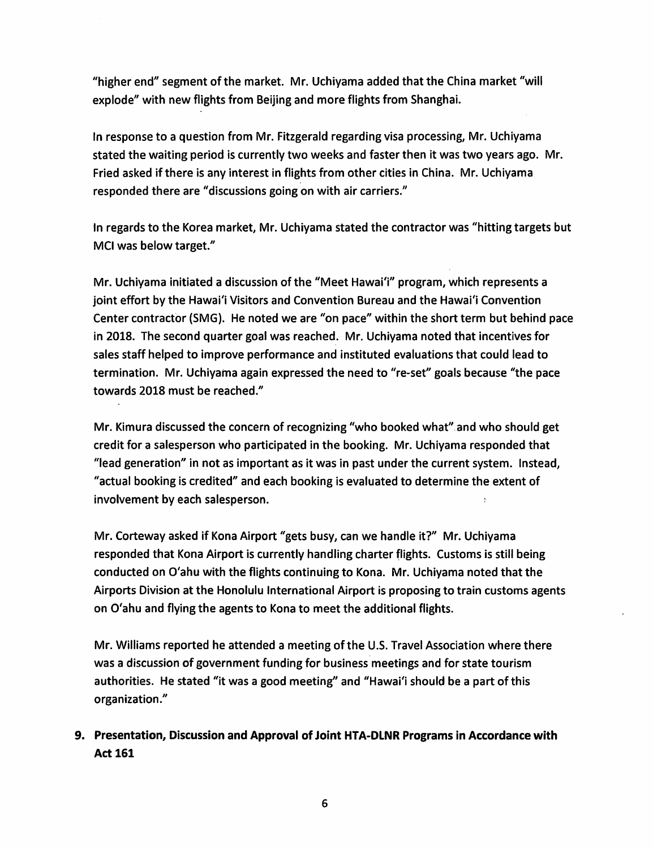"higher end" segment of the market. Mr. Uchiyama added that the China market "will explode" with new flights from Beijing and more flights from Shanghai.

In response to a question from Mr. Fitzgerald regarding visa processing, Mr. Uchiyama stated the waiting period is currently two weeks and faster then it was two years ago. Mr. Fried asked if there is any interest in flights from other cities in China. Mr. Uchiyama responded there are "discussions going on with air carriers."

In regards to the Korea market, Mr. Uchiyama stated the contractor was "hitting targets but MCI was below target."

Mr. Uchiyama initiated a discussion of the "Meet Hawai'i" program, which represents a joint effort by the Hawai'i Visitors and Convention Bureau and the Hawai'i Convention Center contractor (SMG). He noted we are "on pace" within the short term but behind pace in 2018. The second quarter goal was reached. Mr. Uchiyama noted that incentives for sales staff helped to improve performance and instituted evaluations that could lead to termination. Mr. Uchiyama again expressed the need to "re-set" goals because "the pace towards 2018 must be reached."

Mr. Kimura discussed the concern of recognizing "who booked what" and who should get credit for a salesperson who participated in the booking. Mr. Uchiyama responded that "lead generation" in not as important as it was in past under the current system. Instead, "actual booking is credited" and each booking is evaluated to determine the extent of involvement by each salesperson.

Mr. Corteway asked if Kona Airport "gets busy, can we handle it?" Mr. Uchiyama responded that Kona Airport is currently handling charter flights. Customs is still being conducted on O'ahu with the flights continuing to Kona. Mr. Uchiyama noted that the Airports Division at the Honolulu International Airport is proposing to train customs agents on O'ahu and flying the agents to Kona to meet the additional flights.

Mr. Williams reported he attended a meeting of the U.S. Travel Association where there was a discussion of government funding for business meetings and for state tourism authorities. He stated "it was a good meeting" and "Hawai'i should be a part of this organization."

## 9. Presentation, Discussion and Approval of Joint HTA-DLNR Programs in Accordance with **Act 161**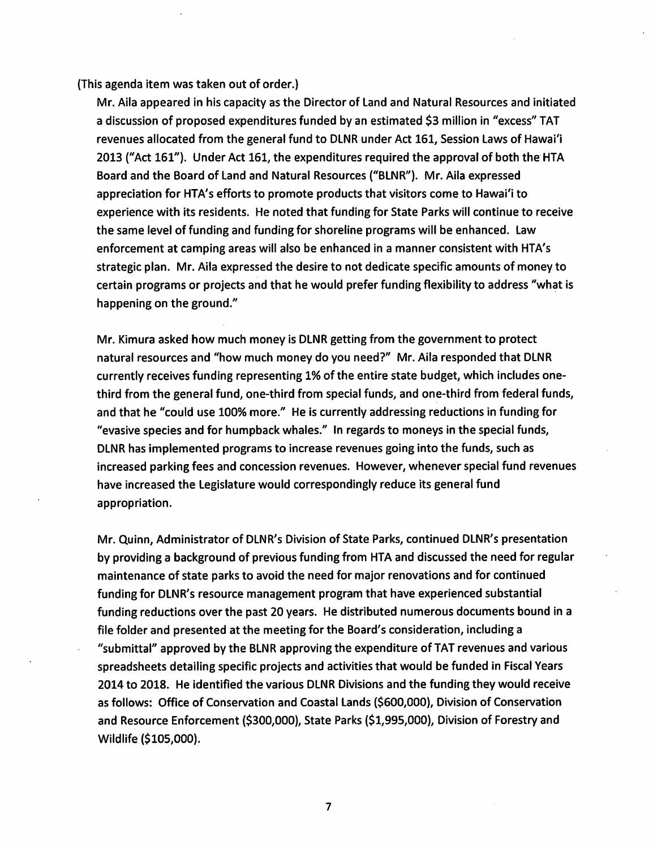(This agenda item was taken out of order.)

Mr. Aila appeared in his capacity as the Director of Land and Natural Resources and initiated a discussion of proposed expenditures funded by an estimated \$3 million in "excess" TAT revenues allocated from the general fund to DLNR under Act 161, Session Laws of Hawai'i 2013 ("Act 161"). Under Act 161, the expenditures required the approval of both the HTA Board and the Board of Land and Natural Resources ("BLNR"). Mr. Aila expressed appreciation for HTA's efforts to promote products that visitors come to Hawai'i to experience with its residents. He noted that funding for State Parks will continue to receive the same level of funding and funding for shoreline programs will be enhanced. Law enforcement at camping areas will also be enhanced in a manner consistent with HTA's strategic plan. Mr. Aila expressed the desire to not dedicate specific amounts of money to certain programs or projects and that he would prefer funding flexibility to address "what is happening on the ground."

Mr. Kimura asked how much money is DLNR getting from the government to protect natural resources and "how much money do you need?" Mr. Aila responded that DLNR currently receives funding representing 1% of the entire state budget, which includes onethird from the general fund, one-third from special funds, and one-third from federal funds, and that he "could use 100% more." He is currently addressing reductions in funding for "evasive species and for humpback whales." In regards to moneys in the special funds, DLNR has implemented programs to increase revenues going into the funds, such as increased parking fees and concession revenues. However, whenever special fund revenues have increased the Legislature would correspondingly reduce its general fund appropriation.

Mr. Quinn, Administrator of DLNR's Division of State Parks, continued DLNR's presentation by providing a background of previous funding from HTA and discussed the need for regular maintenance of state parks to avoid the need for major renovations and for continued funding for DLNR's resource management program that have experienced substantial funding reductions over the past 20 years. He distributed numerous documents bound in a file folder and presented at the meeting for the Board's consideration, including a "submittal" approved by the BLNR approving the expenditure of TAT revenues and various spreadsheets detailing specific projects and activities that would be funded in Fiscal Years 2014 to 2018. He identified the various DLNR Divisions and the funding they would receive as follows: Office of Conservation and Coastal Lands (\$600,000), Division of Conservation and Resource Enforcement (\$300,000), State Parks (\$1,995,000), Division of Forestry and Wildlife (\$105,000).

 $\overline{\mathbf{z}}$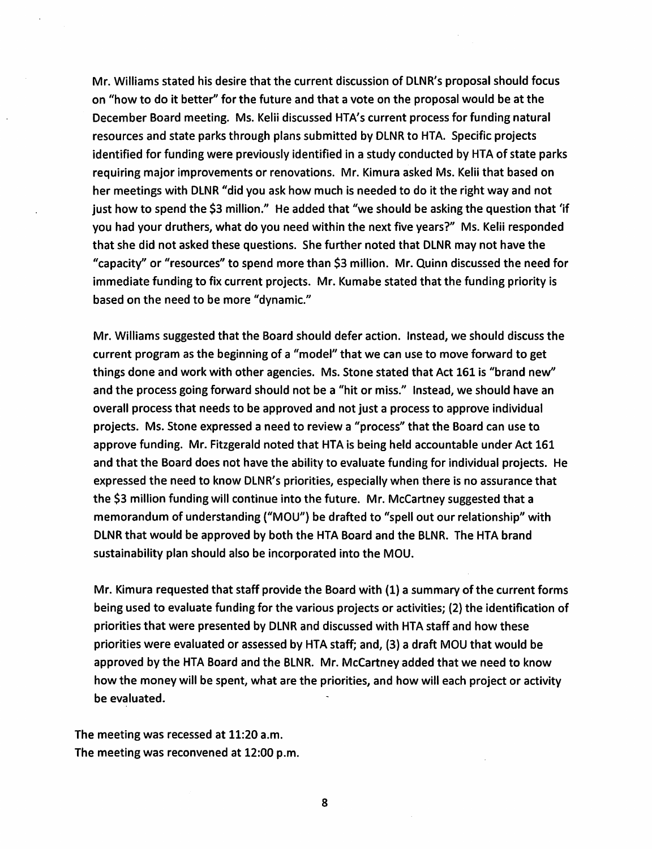Mr. Williams stated his desire that the current discussion of DLNR's proposal should focus on "how to do it better" for the future and that a vote on the proposal would be at the December Board meeting. Ms. Kelii discussed HTA's current process for funding natural resources and state parks through plans submitted by DLNR to HTA. Specific projects identified for funding were previously identified in a study conducted by HTA of state parks requiring major improvements or renovations. Mr. Kimura asked Ms. Kelii that based on her meetings with DLNR "did you ask how much is needed to do it the right way and not just how to spend the \$3 million." He added that "we should be asking the question that 'if you had your druthers, what do you need within the next five years?" Ms. Kelii responded that she did not asked these questions. She further noted that DLNR may not have the "capacity" or "resources" to spend more than \$3 million. Mr. Quinn discussed the need for immediate funding to fix current projects. Mr. Kumabe stated that the funding priority is based on the need to be more "dynamic."

Mr. Williams suggested that the Board should defer action. Instead, we should discuss the current program as the beginning of a "model" that we can use to move forward to get things done and work with other agencies. Ms. Stone stated that Act 161 is "brand new" and the process going forward should not be a "hit or miss." Instead, we should have an overall process that needs to be approved and not just a process to approve individual projects. Ms. Stone expressed a need to review a "process" that the Board can use to approve funding. Mr. Fitzgerald noted that HTA is being held accountable under Act 161 and that the Board does not have the ability to evaluate funding for individual projects. He expressed the need to know DLNR's priorities, especially when there is no assurance that the \$3 million funding will continue into the future. Mr. McCartney suggested that a memorandum of understanding ("MOU") be drafted to "spell out our relationship" with DLNR that would be approved by both the HTA Board and the BLNR. The HTA brand sustainability plan should also be incorporated into the MOU.

Mr. Kimura requested that staff provide the Board with (1) a summary of the current forms being used to evaluate funding for the various projects or activities; (2) the identification of priorities that were presented by DLNR and discussed with HTA staff and how these priorities were evaluated or assessed by HTA staff; and, (3) a draft MOU that would be approved by the HTA Board and the BLNR. Mr. McCartney added that we need to know how the money will be spent, what are the priorities, and how will each project or activity be evaluated.

The meeting was recessed at 11:20 a.m. The meeting was reconvened at 12:00 p.m.

8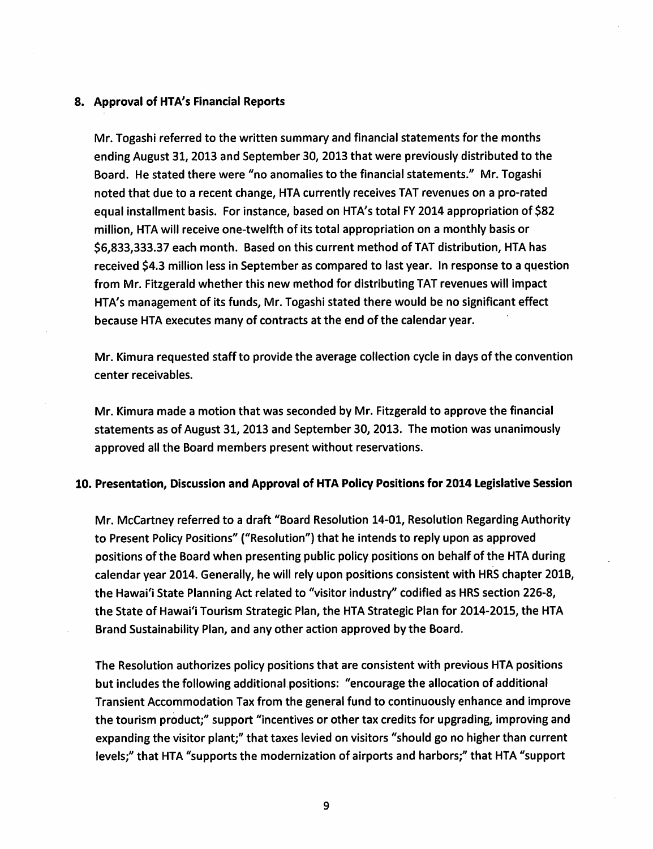#### 8. Approval of HTA's Financial Reports

Mr. Togashi referred to the written summary and financial statements for the months ending August 31, 2013 and September 30, 2013 that were previously distributed to the Board. He stated there were "no anomalies to the financial statements." Mr. Togashi noted that due to a recent change, HTA currently receives TAT revenues on a pro-rated equal installment basis. For instance, based on HTA's total FY 2014 appropriation of \$82 million, HTA will receive one-twelfth of its total appropriation on a monthly basis or \$6,833,333.37 each month. Based on this current method of TAT distribution, HTA has received \$4.3 million less in September as compared to last year. In response to a question from Mr. Fitzgerald whether this new method for distributing TAT revenues will impact HTA's management of its funds, Mr. Togashi stated there would be no significant effect because HTA executes many of contracts at the end of the calendar year.

Mr. Kimura requested staff to provide the average collection cycle in days of the convention center receivables.

Mr. Kimura made a motion that was seconded by Mr. Fitzgerald to approve the financial statements as of August 31, 2013 and September 30, 2013. The motion was unanimously approved all the Board members present without reservations.

#### 10. Presentation, Discussion and Approval of HTA Policy Positions for 2014 Legislative Session

Mr. McCartney referred to a draft "Board Resolution 14-01, Resolution Regarding Authority to Present Policy Positions" ("Resolution") that he intends to reply upon as approved positions of the Board when presenting public policy positions on behalf of the HTA during calendar year 2014. Generally, he will rely upon positions consistent with HRS chapter 201B, the Hawai'i State Planning Act related to "visitor industry" codified as HRS section 226-8, the State of Hawai'i Tourism Strategic Plan, the HTA Strategic Plan for 2014-2015, the HTA Brand Sustainability Plan, and any other action approved by the Board.

The Resolution authorizes policy positions that are consistent with previous HTA positions but includes the following additional positions: "encourage the allocation of additional Transient Accommodation Tax from the general fund to continuously enhance and improve the tourism product;" support "incentives or other tax credits for upgrading, improving and expanding the visitor plant;" that taxes levied on visitors "should go no higher than current levels;" that HTA "supports the modernization of airports and harbors;" that HTA "support

9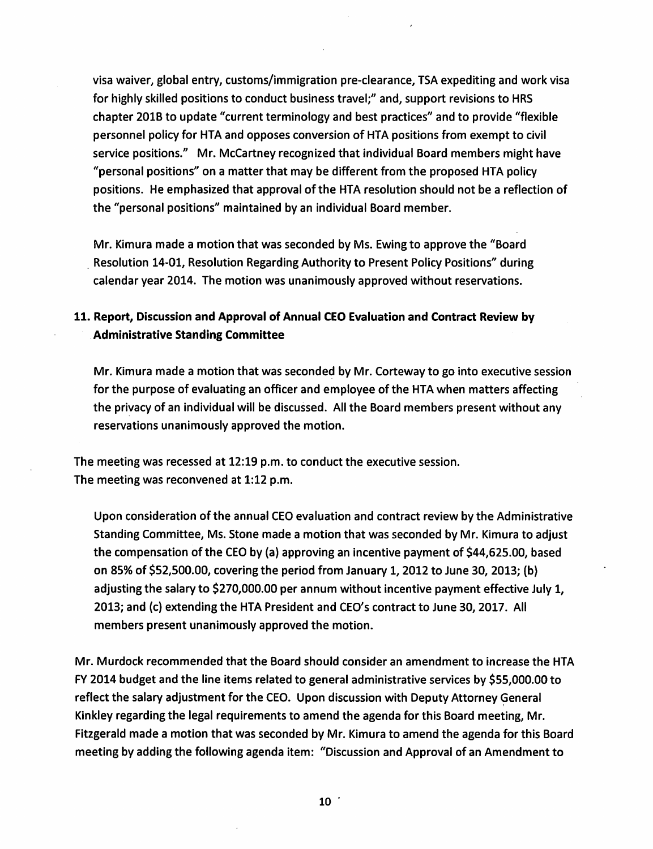visa waiver, global entry, customs/immigration pre-clearance, TSA expediting and work visa for highly skilled positions to conduct business travel;" and, support revisions to HRS chapter 201B to update "current terminology and best practices" and to provide "flexible personnel policy for HTA and opposes conversion of HTA positions from exempt to civil service positions." Mr. McCartney recognized that individual Board members might have "personal positions" on a matter that may be different from the proposed HTA policy positions. He emphasized that approval of the HTA resolution should not be a reflection of the "personal positions" maintained by an individual Board member.

Mr. Kimura made a motion that was seconded by Ms. Ewing to approve the "Board" Resolution 14-01, Resolution Regarding Authority to Present Policy Positions" during calendar year 2014. The motion was unanimously approved without reservations.

## 11. Report, Discussion and Approval of Annual CEO Evaluation and Contract Review by **Administrative Standing Committee**

Mr. Kimura made a motion that was seconded by Mr. Corteway to go into executive session for the purpose of evaluating an officer and employee of the HTA when matters affecting the privacy of an individual will be discussed. All the Board members present without any reservations unanimously approved the motion.

The meeting was recessed at 12:19 p.m. to conduct the executive session. The meeting was reconvened at 1:12 p.m.

Upon consideration of the annual CEO evaluation and contract review by the Administrative Standing Committee, Ms. Stone made a motion that was seconded by Mr. Kimura to adjust the compensation of the CEO by (a) approving an incentive payment of \$44,625.00, based on 85% of \$52,500.00, covering the period from January 1, 2012 to June 30, 2013; (b) adjusting the salary to \$270,000.00 per annum without incentive payment effective July 1, 2013; and (c) extending the HTA President and CEO's contract to June 30, 2017. All members present unanimously approved the motion.

Mr. Murdock recommended that the Board should consider an amendment to increase the HTA FY 2014 budget and the line items related to general administrative services by \$55,000.00 to reflect the salary adjustment for the CEO. Upon discussion with Deputy Attorney General Kinkley regarding the legal requirements to amend the agenda for this Board meeting, Mr. Fitzgerald made a motion that was seconded by Mr. Kimura to amend the agenda for this Board meeting by adding the following agenda item: "Discussion and Approval of an Amendment to